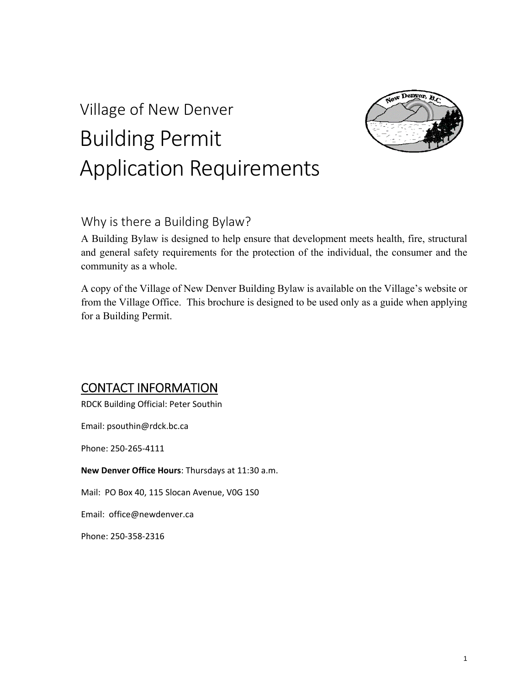# Village of New Denver Building Permit Application Requirements



### Why is there a Building Bylaw?

A Building Bylaw is designed to help ensure that development meets health, fire, structural and general safety requirements for the protection of the individual, the consumer and the community as a whole.

A copy of the Village of New Denver Building Bylaw is available on the Village's website or from the Village Office. This brochure is designed to be used only as a guide when applying for a Building Permit.

### CONTACT INFORMATION

RDCK Building Official: Peter Southin

Email: psouthin@rdck.bc.ca

Phone: 250‐265‐4111

**New Denver Office Hours**: Thursdays at 11:30 a.m.

Mail: PO Box 40, 115 Slocan Avenue, V0G 1S0

Email: office@newdenver.ca

Phone: 250‐358‐2316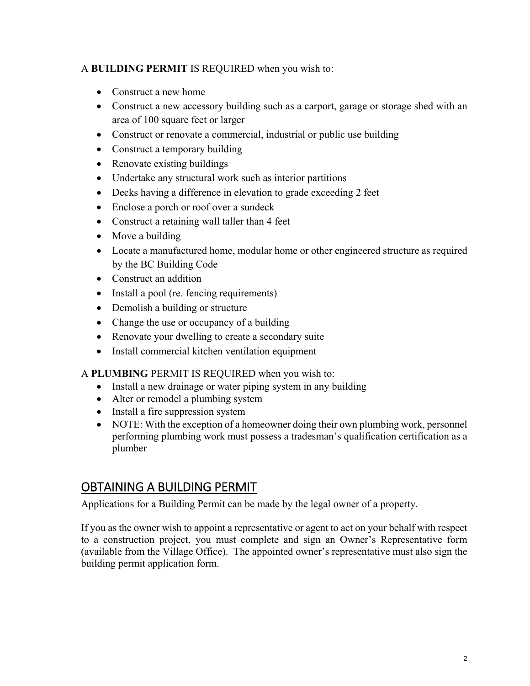#### A **BUILDING PERMIT** IS REQUIRED when you wish to:

- Construct a new home
- Construct a new accessory building such as a carport, garage or storage shed with an area of 100 square feet or larger
- Construct or renovate a commercial, industrial or public use building
- Construct a temporary building
- Renovate existing buildings
- Undertake any structural work such as interior partitions
- Decks having a difference in elevation to grade exceeding 2 feet
- Enclose a porch or roof over a sundeck
- Construct a retaining wall taller than 4 feet
- Move a building
- Locate a manufactured home, modular home or other engineered structure as required by the BC Building Code
- Construct an addition
- Install a pool (re. fencing requirements)
- Demolish a building or structure
- Change the use or occupancy of a building
- Renovate your dwelling to create a secondary suite
- Install commercial kitchen ventilation equipment

#### A **PLUMBING** PERMIT IS REQUIRED when you wish to:

- Install a new drainage or water piping system in any building
- Alter or remodel a plumbing system
- Install a fire suppression system
- NOTE: With the exception of a homeowner doing their own plumbing work, personnel performing plumbing work must possess a tradesman's qualification certification as a plumber

### OBTAINING A BUILDING PERMIT

Applications for a Building Permit can be made by the legal owner of a property.

If you as the owner wish to appoint a representative or agent to act on your behalf with respect to a construction project, you must complete and sign an Owner's Representative form (available from the Village Office). The appointed owner's representative must also sign the building permit application form.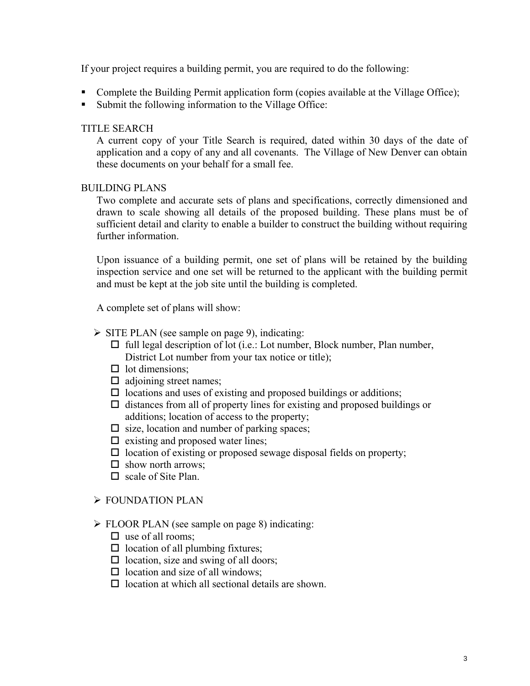If your project requires a building permit, you are required to do the following:

- Complete the Building Permit application form (copies available at the Village Office);
- Submit the following information to the Village Office:

#### TITLE SEARCH

A current copy of your Title Search is required, dated within 30 days of the date of application and a copy of any and all covenants. The Village of New Denver can obtain these documents on your behalf for a small fee.

#### BUILDING PLANS

Two complete and accurate sets of plans and specifications, correctly dimensioned and drawn to scale showing all details of the proposed building. These plans must be of sufficient detail and clarity to enable a builder to construct the building without requiring further information.

Upon issuance of a building permit, one set of plans will be retained by the building inspection service and one set will be returned to the applicant with the building permit and must be kept at the job site until the building is completed.

A complete set of plans will show:

#### $\triangleright$  SITE PLAN (see sample on page 9), indicating:

- $\Box$  full legal description of lot (i.e.: Lot number, Block number, Plan number, District Lot number from your tax notice or title);
- $\Box$  lot dimensions:
- $\Box$  adjoining street names;
- $\Box$  locations and uses of existing and proposed buildings or additions;
- $\Box$  distances from all of property lines for existing and proposed buildings or additions; location of access to the property;
- $\square$  size, location and number of parking spaces;
- $\Box$  existing and proposed water lines;
- $\square$  location of existing or proposed sewage disposal fields on property;
- $\Box$  show north arrows:
- $\Box$  scale of Site Plan.

#### FOUNDATION PLAN

- FLOOR PLAN (see sample on page 8) indicating:
	- $\Box$  use of all rooms;
	- $\Box$  location of all plumbing fixtures;
	- $\Box$  location, size and swing of all doors;
	- $\Box$  location and size of all windows;
	- $\Box$  location at which all sectional details are shown.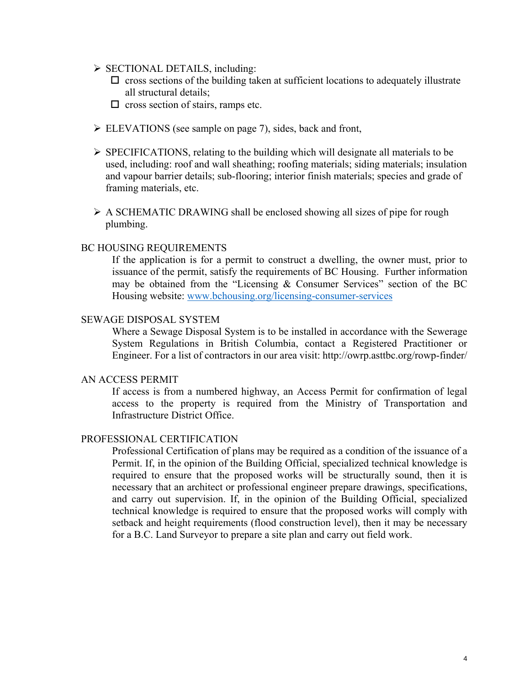- $\triangleright$  SECTIONAL DETAILS, including:
	- $\Box$  cross sections of the building taken at sufficient locations to adequately illustrate all structural details;
	- $\Box$  cross section of stairs, ramps etc.
- ELEVATIONS (see sample on page 7), sides, back and front,
- $\triangleright$  SPECIFICATIONS, relating to the building which will designate all materials to be used, including: roof and wall sheathing; roofing materials; siding materials; insulation and vapour barrier details; sub-flooring; interior finish materials; species and grade of framing materials, etc.
- $\triangleright$  A SCHEMATIC DRAWING shall be enclosed showing all sizes of pipe for rough plumbing.

#### BC HOUSING REQUIREMENTS

If the application is for a permit to construct a dwelling, the owner must, prior to issuance of the permit, satisfy the requirements of BC Housing. Further information may be obtained from the "Licensing & Consumer Services" section of the BC Housing website: www.bchousing.org/licensing-consumer-services

#### SEWAGE DISPOSAL SYSTEM

Where a Sewage Disposal System is to be installed in accordance with the Sewerage System Regulations in British Columbia, contact a Registered Practitioner or Engineer. For a list of contractors in our area visit: http://owrp.asttbc.org/rowp-finder/

#### AN ACCESS PERMIT

If access is from a numbered highway, an Access Permit for confirmation of legal access to the property is required from the Ministry of Transportation and Infrastructure District Office.

#### PROFESSIONAL CERTIFICATION

Professional Certification of plans may be required as a condition of the issuance of a Permit. If, in the opinion of the Building Official, specialized technical knowledge is required to ensure that the proposed works will be structurally sound, then it is necessary that an architect or professional engineer prepare drawings, specifications, and carry out supervision. If, in the opinion of the Building Official, specialized technical knowledge is required to ensure that the proposed works will comply with setback and height requirements (flood construction level), then it may be necessary for a B.C. Land Surveyor to prepare a site plan and carry out field work.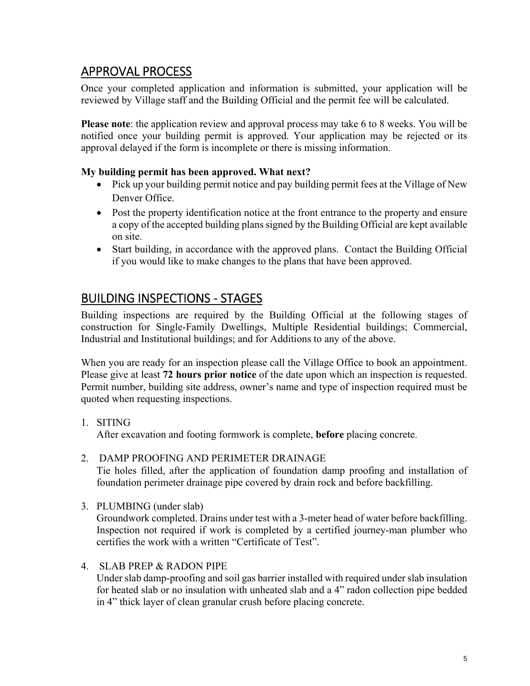### APPROVAL PROCESS

Once your completed application and information is submitted, your application will be reviewed by Village staff and the Building Official and the permit fee will be calculated.

**Please note**: the application review and approval process may take 6 to 8 weeks. You will be notified once your building permit is approved. Your application may be rejected or its approval delayed if the form is incomplete or there is missing information.

#### **My building permit has been approved. What next?**

- Pick up your building permit notice and pay building permit fees at the Village of New Denver Office.
- Post the property identification notice at the front entrance to the property and ensure a copy of the accepted building plans signed by the Building Official are kept available on site.
- Start building, in accordance with the approved plans. Contact the Building Official if you would like to make changes to the plans that have been approved.

### BUILDING INSPECTIONS ‐ STAGES

Building inspections are required by the Building Official at the following stages of construction for Single-Family Dwellings, Multiple Residential buildings; Commercial, Industrial and Institutional buildings; and for Additions to any of the above.

When you are ready for an inspection please call the Village Office to book an appointment. Please give at least **72 hours prior notice** of the date upon which an inspection is requested. Permit number, building site address, owner's name and type of inspection required must be quoted when requesting inspections.

1. SITING

After excavation and footing formwork is complete, **before** placing concrete.

2. DAMP PROOFING AND PERIMETER DRAINAGE

Tie holes filled, after the application of foundation damp proofing and installation of foundation perimeter drainage pipe covered by drain rock and before backfilling.

- 3. PLUMBING (under slab) Groundwork completed. Drains under test with a 3-meter head of water before backfilling. Inspection not required if work is completed by a certified journey-man plumber who certifies the work with a written "Certificate of Test".
- 4. SLAB PREP & RADON PIPE

Under slab damp-proofing and soil gas barrier installed with required under slab insulation for heated slab or no insulation with unheated slab and a 4" radon collection pipe bedded in 4" thick layer of clean granular crush before placing concrete.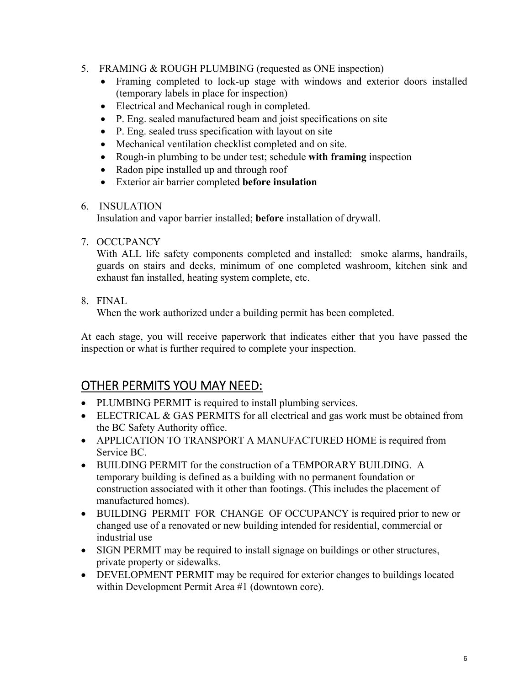- 5. FRAMING & ROUGH PLUMBING (requested as ONE inspection)
	- Framing completed to lock-up stage with windows and exterior doors installed (temporary labels in place for inspection)
	- Electrical and Mechanical rough in completed.
	- P. Eng. sealed manufactured beam and joist specifications on site
	- P. Eng. sealed truss specification with layout on site
	- Mechanical ventilation checklist completed and on site.
	- Rough-in plumbing to be under test; schedule **with framing** inspection
	- Radon pipe installed up and through roof
	- Exterior air barrier completed **before insulation**

#### 6. INSULATION

Insulation and vapor barrier installed; **before** installation of drywall.

7. OCCUPANCY

With ALL life safety components completed and installed: smoke alarms, handrails, guards on stairs and decks, minimum of one completed washroom, kitchen sink and exhaust fan installed, heating system complete, etc.

8. FINAL

When the work authorized under a building permit has been completed.

At each stage, you will receive paperwork that indicates either that you have passed the inspection or what is further required to complete your inspection.

### OTHER PERMITS YOU MAY NEED:

- PLUMBING PERMIT is required to install plumbing services.
- ELECTRICAL & GAS PERMITS for all electrical and gas work must be obtained from the BC Safety Authority office.
- APPLICATION TO TRANSPORT A MANUFACTURED HOME is required from Service BC.
- BUILDING PERMIT for the construction of a TEMPORARY BUILDING. A temporary building is defined as a building with no permanent foundation or construction associated with it other than footings. (This includes the placement of manufactured homes).
- BUILDING PERMIT FOR CHANGE OF OCCUPANCY is required prior to new or changed use of a renovated or new building intended for residential, commercial or industrial use
- SIGN PERMIT may be required to install signage on buildings or other structures, private property or sidewalks.
- DEVELOPMENT PERMIT may be required for exterior changes to buildings located within Development Permit Area #1 (downtown core).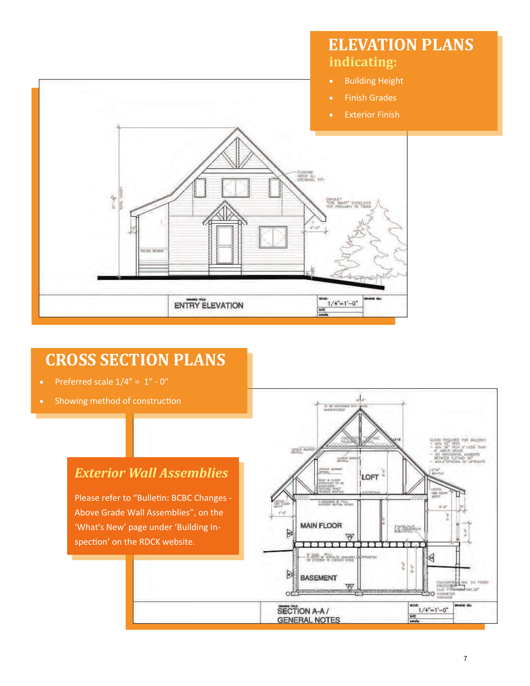

## **CROSS SECTION PLANS**

- Preferred scale  $1/4" = 1" 0"$
- Showing method of construction

### *Exterior Wall Assemblies*

Please refer to "Bulletin: BCBC Changes -Above Grade Wall Assemblies", on the 'What's New' page under 'Building In‐ spection' on the RDCK website.

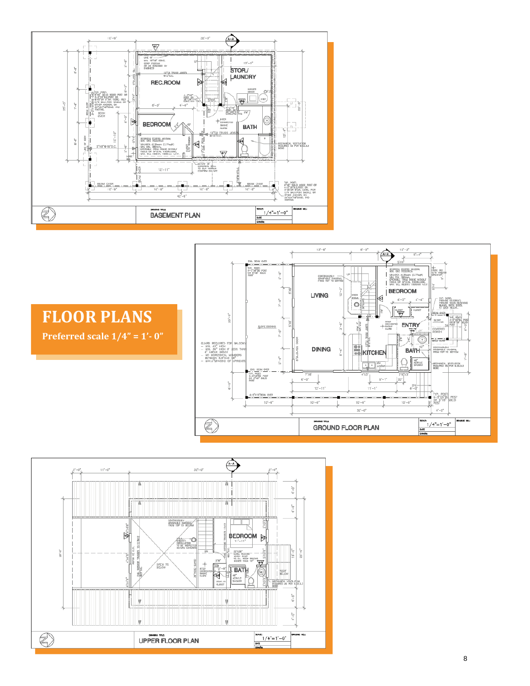

# **FLOOR PLANS**

**Preferred scale 1/4" = 1'‐ 0"**